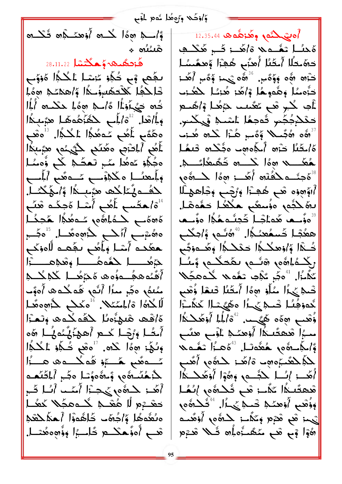و۪ۡٛاوۡکُد وٖۡوۡھُدَا شَہر لمۡوۡی

وَّاسِطِ وَهَا لَكَ وَا أَوْهَدَ الْكُلُّ وَاللَّهُ مَنْ اللَّهُ مِنْ شىئە پ

## كَرْحِدُهُ مِنْ مُحْتَبْسًا 28.11.22

ىكَمِ بْىِ خُلَافٍ مُنْسَلٍ مَا كُلُّهُ! هُوَمِّى خَالِكُما كَلْاتِكْتَمْتِرْفُتْمَا وَٱحْكَمَ وَوَٰءًا ذُه عَيْدَٰهَا هُ اسْمَ هِهُمْ حَكْسُهِ ﴾ وِمُ/هَا.  $\delta^{12}$ هَ/مُبِ حَثَّذُهُههَا هبُنبدَا وهَمَّمِ لَمَعْمِ مَوْهُمُ لِمَكْمُلِ تَوْهَى أَهْدِ ٱلْمَوْتِيْ ۖ وَهُرَيْهِ ۖ وَهُمَدْ لَهُ وَهُمَا } [الله: 1 ەجُكُو كەھُا مَّے تَعجَّكِ كُلِّ وُەم*ُن*ا ولمُعنُسًا مكْلِمْوْسى مُـــوهُم أَلَمُــــح لحفُءيَّ عَالَحُم ميْبِيدًا وَٱحْكِمَــا. أة/هضّب لَمُو أَسْلِمَ مَجِكُم هَنّ هُههُم لِمُمْلِدُ مِهْلِمَةٍ مِنْ الْمُجَمَّا ەھْتېب أَنْكَبِ كُنْھِەمُّكْ، تَامْكَت لمعَكْده أَسْلَ وَلَمُكُمْ يَقْعَدُ لْأَوْكَى أَقَنُه هجُــهزُه ه هَجَرْهُـــا كَلِمْكُـــهِ مُنفَ وَجَرِ مِنَا أَنَّقٍ قَوْمُهُمْ أُوَوَّت<br>لَّا كُمُّا وْالِمَّتْلا. "وْكُلْحْ لِأَبْوِوهُا ةُ/قَتِ هَيْهِ أَوتُا ۖ لِكَفَو لُكُوهِ ۚ وَتَعْبَرُا أَمِثُما وَرُجْماً كُمْ أَهْدَىٰ مُكْمَلٍ الْهُم وَنُهَٰذٍ وَهُمَا يَكُومٍ. "وَهْمٍ خُلُّهُو بَالْحُلُّهِ! تَـــوهُم هَـــبَرْوَ قَويَكَـــوها هـــزًا لِّأَهُلُّكُونَ وُحَدُّدَةٍ وَالْمَجْمِعِ ٱلْمُتَعَلِّمَةِ ٱلْمُؤَلَّمَةِ ٱلْمُؤَلَّمَةِ ۖ أهَد: حَدَّةُ وَهُ يَحْدُرُا أَسَمَدَ النَّالُ قَبِيرٍ حَقَّــْمِ لَا مُعْـَــمِ گَــومجَلا حَمُــا ەئھُەھُل ۆُ/جُھَٰٮ خُلِھُەوْل أَحذَكَ كَعَدِ قْبِ أُوزُهِكُمْ ذُاكِرًا وَؤُوهِ مُحْسَلَ

هُدسُهُ تَشُبُّبُ هُ هُوَ اللَّهُ جَلْسَ مُحَمَّلُ فِي اللَّهُ عَلَيْهِ وَالْمُسَلِّمَةِ وَالْمُسَلّ حَوَّىحُلَّا أَحَكُنَّا أُهزَّى هُجْزَا وَُهِمَّسُـل ضَرْنَ وَهُ وَمِ مَُجْمٍ وَالْأَمْرَى وَالْمَالِيِّ وَأَمْرِ لَهَا وَالْمَالِمَ حَزُّه مُمَّا وِهُموها وُاهَٰ: هُزْسًا كَعُنْت َاْبِ كُبِرِ ثَبِي مُعَْنِيبِ جَرْهُا وْاهْتِمْ حَدْدْبِكُمْ هُءَجِعًا لِمُسْبِهِ فَيَكْسَرِ. أَهُه هُجُمِيلًا وَّهُبِ هُـْرَا لَكُـهِ هُـزَمَ ەُ/مَطَّلَ خَزَه /ْمِهُوهِم وَجُكْلَه قَىمُـل ٱهۡجَنَّـــه لَاعُلَاه أُهَّـــ; هوهُ! لَــــــةُم أَاؤُهِوَهِ هُمِ هُجِنَّا وَرُجْمٍ وَجَاهِهَا ا بةَ حَثَمٍ ۚ وَوُسِعَى ۖ مَحْفًا ۖ حَقَّوهَا. تَّودُّصِفُ مَحْمَلَهِ لِلَّهِ حَجِسُهِ مَجْمًا وَدُّصِف هعُبْدا خَسمُعنُـجُا. "هُنَّـم، وُاجكُب َتُـٰٓءُا وَٖٗاوۡمَكُـٰہُا ۖ حَكَـٰكُمُا ۖ وَهُــٰءوَكَبِ لَــٰٰهُ\$م هِــُـٰم مِـهُــُـه مِـهُــهُ مِـُــل *تَّأَمَرُا, "وَجِّرٍ مُبْلِ*بٍ *مَعْمِد گُےعجَلا* ضَجَّيْها مُأَوْ 90\$ أَمكُنَّا قَبْقَا وُهُم أَسْلَامَ السَرْهُه الْمِنْ فِمِمْ الْمُؤْمِنَةِ وَّهْبِ وِهِهُو هَيُّـب.  $\mathring{\mathcal{E}}$ الْمِلَّا أَوْهَدْ الْمَا مَدِّزًا هُمِعَتَنَدُا أَوْهِنَـٰهِ لَاوْبِ هِنَّبِ وَٱلْمِلْمِدِيَّةِ وَالْمُحَمَّدُ لِمَدْيَاتِ مِنْ الْمُحْمَدِ لمَكْمَلْهُمْبَوْهِ وَاهُمْ لَحْدُومٍ أَهُب أَهَٰدَ إِنَّــا ۖ كَجُّـــم ۖ وَهُوٓا أَوْهَٰكَــٰذَا مْعتُنكُا تْكُب; مْع ثُكْتُوم إنْعُا وَوُّهْمٍ أَوْهِكُمْ شَدِيَّ أَنْ أَقْلَاهُ مِ يْهِمْ هُمْ هُدْمٍ وَكُلُمْ: ﴿ هُوَ ﴾ أَوْهُدِهِ ِهُوْٓا وٕۡ مَى مَّصَّـُوَاْهِ ۖ شَلا شَـْهِر